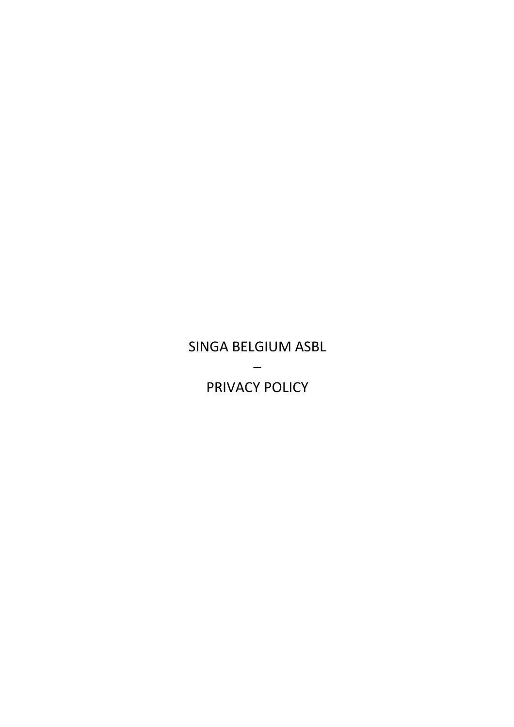# SINGA BELGIUM ASBL – PRIVACY POLICY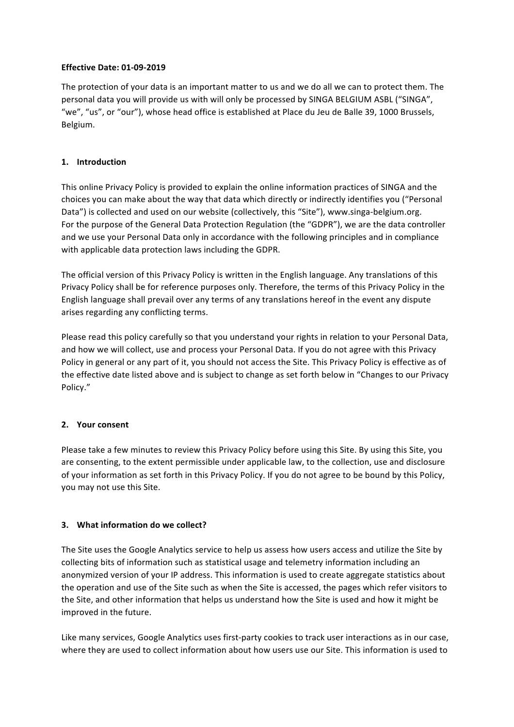## **Effective Date: 01-09-2019**

The protection of your data is an important matter to us and we do all we can to protect them. The personal data you will provide us with will only be processed by SINGA BELGIUM ASBL ("SINGA", "we", "us", or "our"), whose head office is established at Place du Jeu de Balle 39, 1000 Brussels, Belgium.

## **1. Introduction**

This online Privacy Policy is provided to explain the online information practices of SINGA and the choices you can make about the way that data which directly or indirectly identifies you ("Personal Data") is collected and used on our website (collectively, this "Site"), www.singa-belgium.org. For the purpose of the General Data Protection Regulation (the "GDPR"), we are the data controller and we use your Personal Data only in accordance with the following principles and in compliance with applicable data protection laws including the GDPR.

The official version of this Privacy Policy is written in the English language. Any translations of this Privacy Policy shall be for reference purposes only. Therefore, the terms of this Privacy Policy in the English language shall prevail over any terms of any translations hereof in the event any dispute arises regarding any conflicting terms.

Please read this policy carefully so that you understand your rights in relation to your Personal Data, and how we will collect, use and process your Personal Data. If you do not agree with this Privacy Policy in general or any part of it, you should not access the Site. This Privacy Policy is effective as of the effective date listed above and is subject to change as set forth below in "Changes to our Privacy Policy."

#### **2. Your consent**

Please take a few minutes to review this Privacy Policy before using this Site. By using this Site, you are consenting, to the extent permissible under applicable law, to the collection, use and disclosure of your information as set forth in this Privacy Policy. If you do not agree to be bound by this Policy, you may not use this Site.

#### **3.** What information do we collect?

The Site uses the Google Analytics service to help us assess how users access and utilize the Site by collecting bits of information such as statistical usage and telemetry information including an anonymized version of your IP address. This information is used to create aggregate statistics about the operation and use of the Site such as when the Site is accessed, the pages which refer visitors to the Site, and other information that helps us understand how the Site is used and how it might be improved in the future.

Like many services, Google Analytics uses first-party cookies to track user interactions as in our case, where they are used to collect information about how users use our Site. This information is used to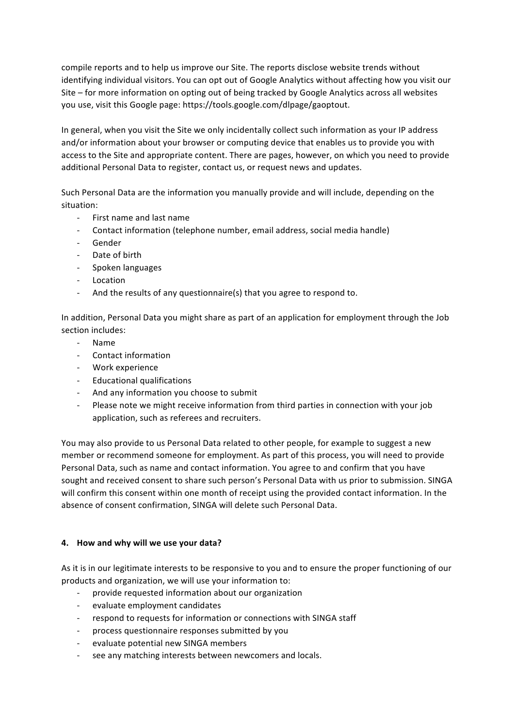compile reports and to help us improve our Site. The reports disclose website trends without identifying individual visitors. You can opt out of Google Analytics without affecting how you visit our Site  $-$  for more information on opting out of being tracked by Google Analytics across all websites you use, visit this Google page: https://tools.google.com/dlpage/gaoptout.

In general, when you visit the Site we only incidentally collect such information as your IP address and/or information about your browser or computing device that enables us to provide you with access to the Site and appropriate content. There are pages, however, on which you need to provide additional Personal Data to register, contact us, or request news and updates.

Such Personal Data are the information you manually provide and will include, depending on the situation:

- First name and last name
- Contact information (telephone number, email address, social media handle)
- Gender
- Date of birth
- Spoken languages
- Location
- And the results of any questionnaire(s) that you agree to respond to.

In addition, Personal Data you might share as part of an application for employment through the Job section includes:

- Name
- Contact information
- Work experience
- Educational qualifications
- And any information you choose to submit
- Please note we might receive information from third parties in connection with your job application, such as referees and recruiters.

You may also provide to us Personal Data related to other people, for example to suggest a new member or recommend someone for employment. As part of this process, you will need to provide Personal Data, such as name and contact information. You agree to and confirm that you have sought and received consent to share such person's Personal Data with us prior to submission. SINGA will confirm this consent within one month of receipt using the provided contact information. In the absence of consent confirmation, SINGA will delete such Personal Data.

#### **4. How and why will we use your data?**

As it is in our legitimate interests to be responsive to you and to ensure the proper functioning of our products and organization, we will use your information to:

- provide requested information about our organization
- evaluate employment candidates
- respond to requests for information or connections with SINGA staff
- process questionnaire responses submitted by you
- evaluate potential new SINGA members
- see any matching interests between newcomers and locals.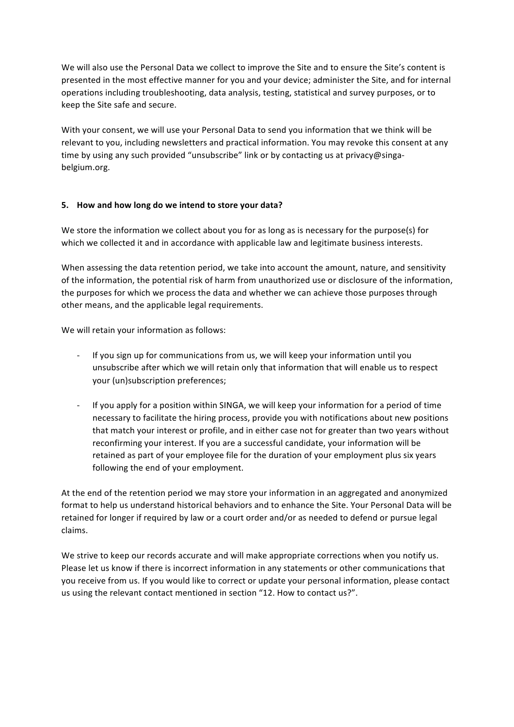We will also use the Personal Data we collect to improve the Site and to ensure the Site's content is presented in the most effective manner for you and your device; administer the Site, and for internal operations including troubleshooting, data analysis, testing, statistical and survey purposes, or to keep the Site safe and secure.

With your consent, we will use your Personal Data to send you information that we think will be relevant to you, including newsletters and practical information. You may revoke this consent at any time by using any such provided "unsubscribe" link or by contacting us at privacy@singabelgium.org.

# **5. How and how long do we intend to store your data?**

We store the information we collect about you for as long as is necessary for the purpose(s) for which we collected it and in accordance with applicable law and legitimate business interests.

When assessing the data retention period, we take into account the amount, nature, and sensitivity of the information, the potential risk of harm from unauthorized use or disclosure of the information, the purposes for which we process the data and whether we can achieve those purposes through other means, and the applicable legal requirements.

We will retain your information as follows:

- If you sign up for communications from us, we will keep your information until you unsubscribe after which we will retain only that information that will enable us to respect your (un)subscription preferences;
- If you apply for a position within SINGA, we will keep your information for a period of time necessary to facilitate the hiring process, provide you with notifications about new positions that match your interest or profile, and in either case not for greater than two years without reconfirming your interest. If you are a successful candidate, your information will be retained as part of your employee file for the duration of your employment plus six years following the end of your employment.

At the end of the retention period we may store your information in an aggregated and anonymized format to help us understand historical behaviors and to enhance the Site. Your Personal Data will be retained for longer if required by law or a court order and/or as needed to defend or pursue legal claims.

We strive to keep our records accurate and will make appropriate corrections when you notify us. Please let us know if there is incorrect information in any statements or other communications that you receive from us. If you would like to correct or update your personal information, please contact us using the relevant contact mentioned in section "12. How to contact us?".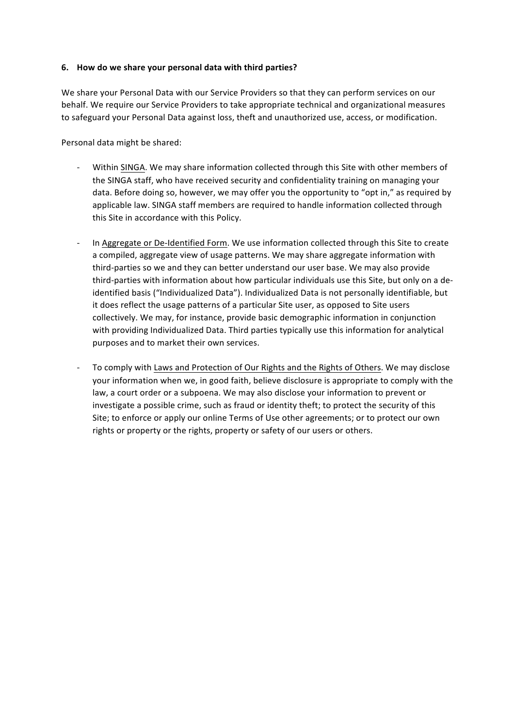## **6. How do we share your personal data with third parties?**

We share your Personal Data with our Service Providers so that they can perform services on our behalf. We require our Service Providers to take appropriate technical and organizational measures to safeguard your Personal Data against loss, theft and unauthorized use, access, or modification.

Personal data might be shared:

- Within SINGA. We may share information collected through this Site with other members of the SINGA staff, who have received security and confidentiality training on managing your data. Before doing so, however, we may offer you the opportunity to "opt in," as required by applicable law. SINGA staff members are required to handle information collected through this Site in accordance with this Policy.
- In Aggregate or De-Identified Form. We use information collected through this Site to create a compiled, aggregate view of usage patterns. We may share aggregate information with third-parties so we and they can better understand our user base. We may also provide third-parties with information about how particular individuals use this Site, but only on a deidentified basis ("Individualized Data"). Individualized Data is not personally identifiable, but it does reflect the usage patterns of a particular Site user, as opposed to Site users collectively. We may, for instance, provide basic demographic information in conjunction with providing Individualized Data. Third parties typically use this information for analytical purposes and to market their own services.
- To comply with Laws and Protection of Our Rights and the Rights of Others. We may disclose your information when we, in good faith, believe disclosure is appropriate to comply with the law, a court order or a subpoena. We may also disclose your information to prevent or investigate a possible crime, such as fraud or identity theft; to protect the security of this Site; to enforce or apply our online Terms of Use other agreements; or to protect our own rights or property or the rights, property or safety of our users or others.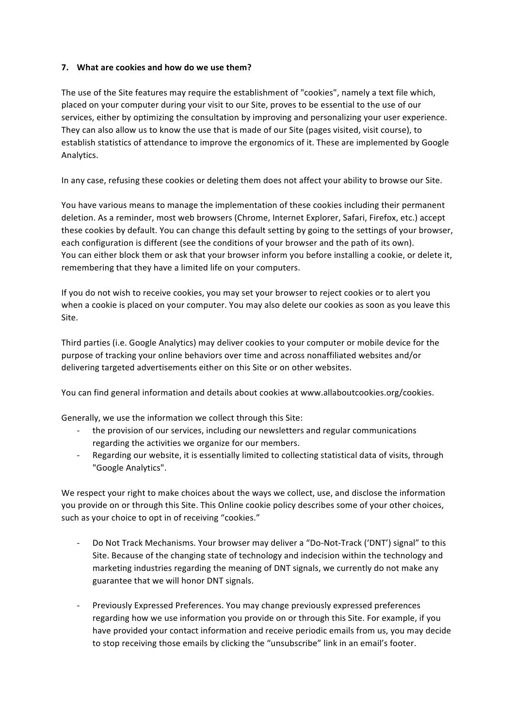## **7.** What are cookies and how do we use them?

The use of the Site features may require the establishment of "cookies", namely a text file which, placed on your computer during your visit to our Site, proves to be essential to the use of our services, either by optimizing the consultation by improving and personalizing your user experience. They can also allow us to know the use that is made of our Site (pages visited, visit course), to establish statistics of attendance to improve the ergonomics of it. These are implemented by Google Analytics.

In any case, refusing these cookies or deleting them does not affect your ability to browse our Site.

You have various means to manage the implementation of these cookies including their permanent deletion. As a reminder, most web browsers (Chrome, Internet Explorer, Safari, Firefox, etc.) accept these cookies by default. You can change this default setting by going to the settings of your browser, each configuration is different (see the conditions of your browser and the path of its own). You can either block them or ask that your browser inform you before installing a cookie, or delete it, remembering that they have a limited life on your computers.

If you do not wish to receive cookies, you may set your browser to reject cookies or to alert you when a cookie is placed on your computer. You may also delete our cookies as soon as you leave this Site.

Third parties (i.e. Google Analytics) may deliver cookies to your computer or mobile device for the purpose of tracking your online behaviors over time and across nonaffiliated websites and/or delivering targeted advertisements either on this Site or on other websites.

You can find general information and details about cookies at www.allaboutcookies.org/cookies.

Generally, we use the information we collect through this Site:

- the provision of our services, including our newsletters and regular communications regarding the activities we organize for our members.
- Regarding our website, it is essentially limited to collecting statistical data of visits, through "Google Analytics".

We respect your right to make choices about the ways we collect, use, and disclose the information you provide on or through this Site. This Online cookie policy describes some of your other choices, such as your choice to opt in of receiving "cookies."

- Do Not Track Mechanisms. Your browser may deliver a "Do-Not-Track ('DNT') signal" to this Site. Because of the changing state of technology and indecision within the technology and marketing industries regarding the meaning of DNT signals, we currently do not make any guarantee that we will honor DNT signals.
- Previously Expressed Preferences. You may change previously expressed preferences regarding how we use information you provide on or through this Site. For example, if you have provided your contact information and receive periodic emails from us, you may decide to stop receiving those emails by clicking the "unsubscribe" link in an email's footer.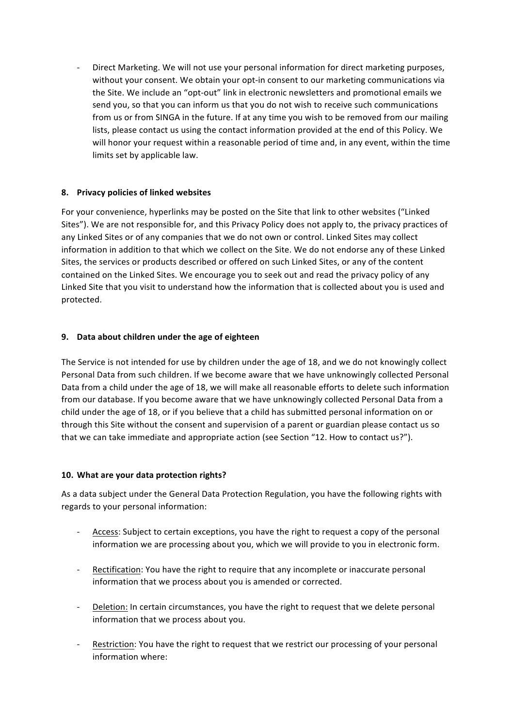Direct Marketing. We will not use your personal information for direct marketing purposes, without your consent. We obtain your opt-in consent to our marketing communications via the Site. We include an "opt-out" link in electronic newsletters and promotional emails we send you, so that you can inform us that you do not wish to receive such communications from us or from SINGA in the future. If at any time you wish to be removed from our mailing lists, please contact us using the contact information provided at the end of this Policy. We will honor your request within a reasonable period of time and, in any event, within the time limits set by applicable law.

# **8. Privacy policies of linked websites**

For your convenience, hyperlinks may be posted on the Site that link to other websites ("Linked Sites"). We are not responsible for, and this Privacy Policy does not apply to, the privacy practices of any Linked Sites or of any companies that we do not own or control. Linked Sites may collect information in addition to that which we collect on the Site. We do not endorse any of these Linked Sites, the services or products described or offered on such Linked Sites, or any of the content contained on the Linked Sites. We encourage you to seek out and read the privacy policy of any Linked Site that you visit to understand how the information that is collected about you is used and protected.

## **9. Data about children under the age of eighteen**

The Service is not intended for use by children under the age of 18, and we do not knowingly collect Personal Data from such children. If we become aware that we have unknowingly collected Personal Data from a child under the age of 18, we will make all reasonable efforts to delete such information from our database. If you become aware that we have unknowingly collected Personal Data from a child under the age of 18, or if you believe that a child has submitted personal information on or through this Site without the consent and supervision of a parent or guardian please contact us so that we can take immediate and appropriate action (see Section "12. How to contact us?").

#### 10. What are your data protection rights?

As a data subject under the General Data Protection Regulation, you have the following rights with regards to your personal information:

- Access: Subject to certain exceptions, you have the right to request a copy of the personal information we are processing about you, which we will provide to you in electronic form.
- Rectification: You have the right to require that any incomplete or inaccurate personal information that we process about you is amended or corrected.
- Deletion: In certain circumstances, you have the right to request that we delete personal information that we process about you.
- Restriction: You have the right to request that we restrict our processing of your personal information where: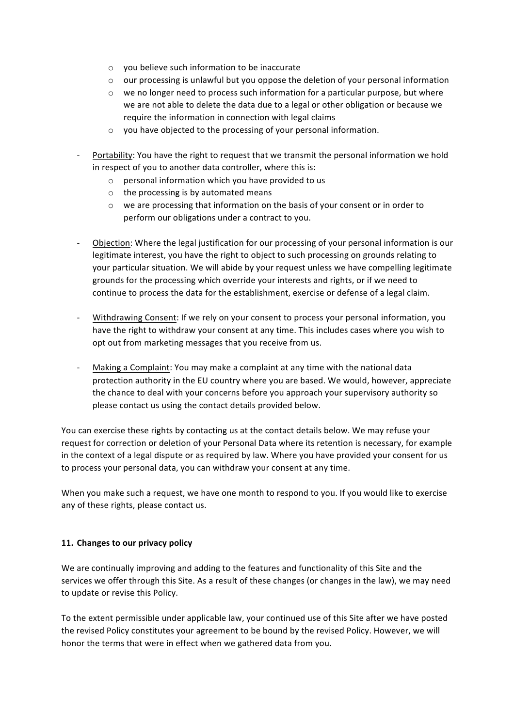- $\circ$  you believe such information to be inaccurate
- $\circ$  our processing is unlawful but you oppose the deletion of your personal information
- $\circ$  we no longer need to process such information for a particular purpose, but where we are not able to delete the data due to a legal or other obligation or because we require the information in connection with legal claims
- $\circ$  you have objected to the processing of your personal information.
- Portability: You have the right to request that we transmit the personal information we hold in respect of you to another data controller, where this is:
	- $\circ$  personal information which you have provided to us
	- $\circ$  the processing is by automated means
	- $\circ$  we are processing that information on the basis of your consent or in order to perform our obligations under a contract to you.
- Objection: Where the legal justification for our processing of your personal information is our legitimate interest, you have the right to object to such processing on grounds relating to your particular situation. We will abide by your request unless we have compelling legitimate grounds for the processing which override your interests and rights, or if we need to continue to process the data for the establishment, exercise or defense of a legal claim.
- Withdrawing Consent: If we rely on your consent to process your personal information, you have the right to withdraw your consent at any time. This includes cases where you wish to opt out from marketing messages that you receive from us.
- Making a Complaint: You may make a complaint at any time with the national data protection authority in the EU country where you are based. We would, however, appreciate the chance to deal with your concerns before you approach your supervisory authority so please contact us using the contact details provided below.

You can exercise these rights by contacting us at the contact details below. We may refuse your request for correction or deletion of your Personal Data where its retention is necessary, for example in the context of a legal dispute or as required by law. Where you have provided your consent for us to process your personal data, you can withdraw your consent at any time.

When you make such a request, we have one month to respond to you. If you would like to exercise any of these rights, please contact us.

# **11. Changes to our privacy policy**

We are continually improving and adding to the features and functionality of this Site and the services we offer through this Site. As a result of these changes (or changes in the law), we may need to update or revise this Policy.

To the extent permissible under applicable law, your continued use of this Site after we have posted the revised Policy constitutes your agreement to be bound by the revised Policy. However, we will honor the terms that were in effect when we gathered data from you.